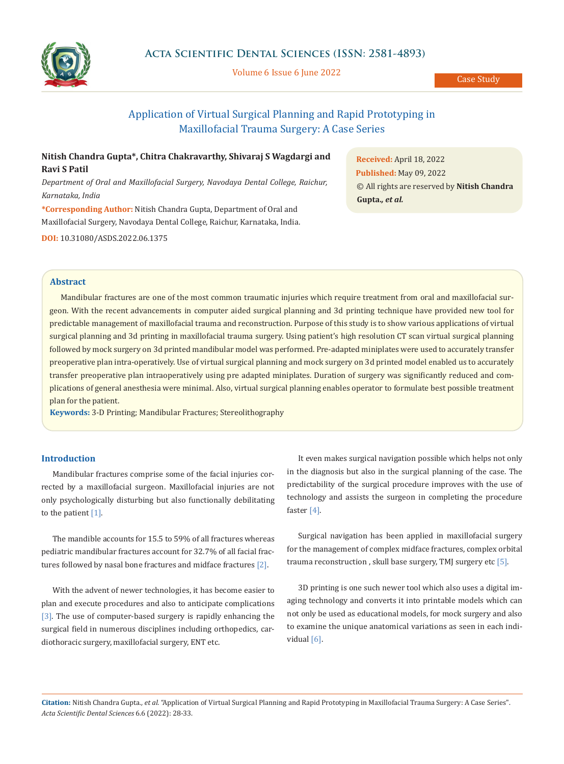

Volume 6 Issue 6 June 2022

Case Study

# Application of Virtual Surgical Planning and Rapid Prototyping in Maxillofacial Trauma Surgery: A Case Series

## **Nitish Chandra Gupta\*, Chitra Chakravarthy, Shivaraj S Wagdargi and Ravi S Patil**

*Department of Oral and Maxillofacial Surgery, Navodaya Dental College, Raichur, Karnataka, India*

**\*Corresponding Author:** Nitish Chandra Gupta, Department of Oral and Maxillofacial Surgery, Navodaya Dental College, Raichur, Karnataka, India.

**DOI:** [10.31080/ASDS.2022.06.1375](https://actascientific.com/ASDS/pdf/ASDS-06-1375.pdf)

**Received:** April 18, 2022 **Published:** May 09, 2022 © All rights are reserved by **Nitish Chandra Gupta.***, et al.*

#### **Abstract**

Mandibular fractures are one of the most common traumatic injuries which require treatment from oral and maxillofacial surgeon. With the recent advancements in computer aided surgical planning and 3d printing technique have provided new tool for predictable management of maxillofacial trauma and reconstruction. Purpose of this study is to show various applications of virtual surgical planning and 3d printing in maxillofacial trauma surgery. Using patient's high resolution CT scan virtual surgical planning followed by mock surgery on 3d printed mandibular model was performed. Pre-adapted miniplates were used to accurately transfer preoperative plan intra-operatively. Use of virtual surgical planning and mock surgery on 3d printed model enabled us to accurately transfer preoperative plan intraoperatively using pre adapted miniplates. Duration of surgery was significantly reduced and complications of general anesthesia were minimal. Also, virtual surgical planning enables operator to formulate best possible treatment plan for the patient.

**Keywords:** 3-D Printing; Mandibular Fractures; Stereolithography

## **Introduction**

Mandibular fractures comprise some of the facial injuries corrected by a maxillofacial surgeon. Maxillofacial injuries are not only psychologically disturbing but also functionally debilitating to the patient  $[1]$ .

The mandible accounts for 15.5 to 59% of all fractures whereas pediatric mandibular fractures account for 32.7% of all facial fractures followed by nasal bone fractures and midface fractures [2].

With the advent of newer technologies, it has become easier to plan and execute procedures and also to anticipate complications [3]. The use of computer-based surgery is rapidly enhancing the surgical field in numerous disciplines including orthopedics, cardiothoracic surgery, maxillofacial surgery, ENT etc.

It even makes surgical navigation possible which helps not only in the diagnosis but also in the surgical planning of the case. The predictability of the surgical procedure improves with the use of technology and assists the surgeon in completing the procedure faster [4].

Surgical navigation has been applied in maxillofacial surgery for the management of complex midface fractures, complex orbital trauma reconstruction , skull base surgery, TMJ surgery etc [5].

3D printing is one such newer tool which also uses a digital imaging technology and converts it into printable models which can not only be used as educational models, for mock surgery and also to examine the unique anatomical variations as seen in each individual [6].

**Citation:** Nitish Chandra Gupta*., et al.* "Application of Virtual Surgical Planning and Rapid Prototyping in Maxillofacial Trauma Surgery: A Case Series". *Acta Scientific Dental Sciences* 6.6 (2022): 28-33.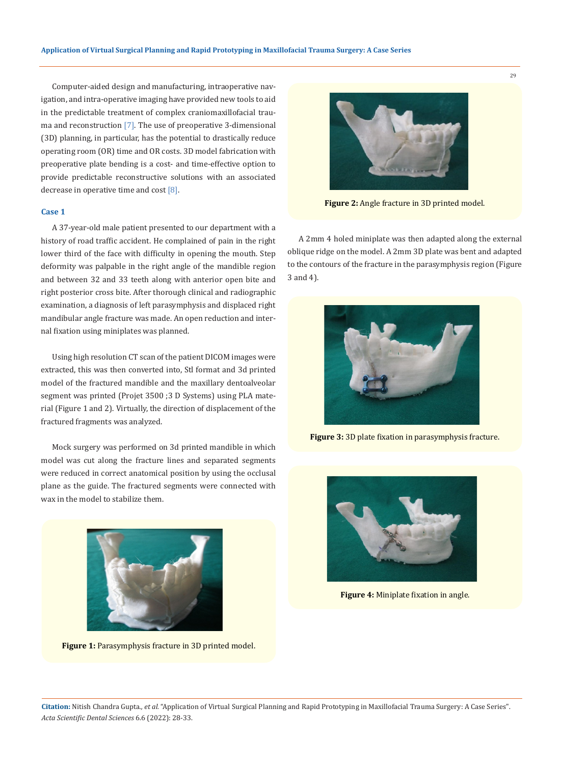Computer-aided design and manufacturing, intraoperative navigation, and intra-operative imaging have provided new tools to aid in the predictable treatment of complex craniomaxillofacial trauma and reconstruction [7]. The use of preoperative 3-dimensional (3D) planning, in particular, has the potential to drastically reduce operating room (OR) time and OR costs. 3D model fabrication with preoperative plate bending is a cost- and time-effective option to provide predictable reconstructive solutions with an associated decrease in operative time and cost [8].

## **Case 1**

A 37-year-old male patient presented to our department with a history of road traffic accident. He complained of pain in the right lower third of the face with difficulty in opening the mouth. Step deformity was palpable in the right angle of the mandible region and between 32 and 33 teeth along with anterior open bite and right posterior cross bite. After thorough clinical and radiographic examination, a diagnosis of left parasymphysis and displaced right mandibular angle fracture was made. An open reduction and internal fixation using miniplates was planned.

Using high resolution CT scan of the patient DICOM images were extracted, this was then converted into, Stl format and 3d printed model of the fractured mandible and the maxillary dentoalveolar segment was printed (Projet 3500 ;3 D Systems) using PLA material (Figure 1 and 2). Virtually, the direction of displacement of the fractured fragments was analyzed.

Mock surgery was performed on 3d printed mandible in which model was cut along the fracture lines and separated segments were reduced in correct anatomical position by using the occlusal plane as the guide. The fractured segments were connected with wax in the model to stabilize them.



**Figure 1:** Parasymphysis fracture in 3D printed model.



**Figure 2:** Angle fracture in 3D printed model.

A 2mm 4 holed miniplate was then adapted along the external oblique ridge on the model. A 2mm 3D plate was bent and adapted to the contours of the fracture in the parasymphysis region (Figure 3 and 4).



**Figure 3:** 3D plate fixation in parasymphysis fracture.



**Figure 4:** Miniplate fixation in angle.

**Citation:** Nitish Chandra Gupta*., et al.* "Application of Virtual Surgical Planning and Rapid Prototyping in Maxillofacial Trauma Surgery: A Case Series". *Acta Scientific Dental Sciences* 6.6 (2022): 28-33.

29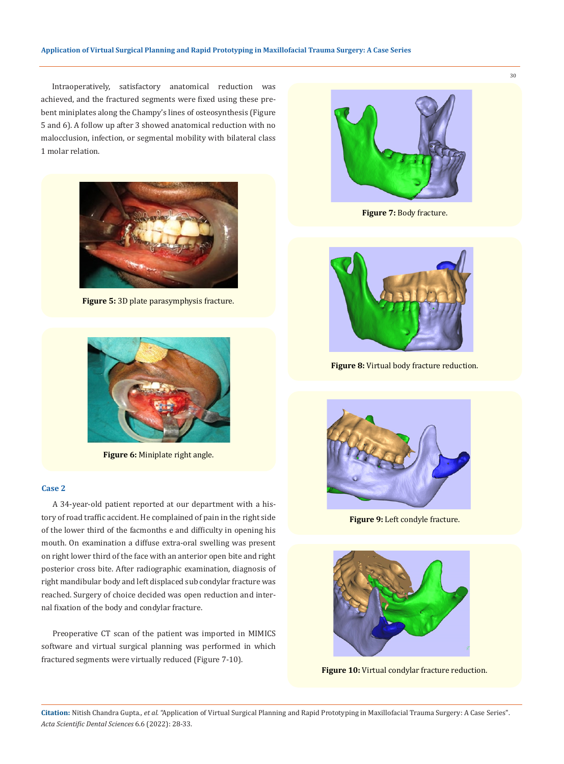Intraoperatively, satisfactory anatomical reduction was achieved, and the fractured segments were fixed using these prebent miniplates along the Champy's lines of osteosynthesis (Figure 5 and 6). A follow up after 3 showed anatomical reduction with no malocclusion, infection, or segmental mobility with bilateral class 1 molar relation.



**Figure 5:** 3D plate parasymphysis fracture.



**Figure 6:** Miniplate right angle.

#### **Case 2**

A 34-year-old patient reported at our department with a history of road traffic accident. He complained of pain in the right side of the lower third of the facmonths e and difficulty in opening his mouth. On examination a diffuse extra-oral swelling was present on right lower third of the face with an anterior open bite and right posterior cross bite. After radiographic examination, diagnosis of right mandibular body and left displaced sub condylar fracture was reached. Surgery of choice decided was open reduction and internal fixation of the body and condylar fracture.

Preoperative CT scan of the patient was imported in MIMICS software and virtual surgical planning was performed in which fractured segments were virtually reduced (Figure 7-10).



**Figure 7:** Body fracture.



**Figure 8:** Virtual body fracture reduction.



**Figure 9:** Left condyle fracture.



**Figure 10:** Virtual condylar fracture reduction.

**Citation:** Nitish Chandra Gupta*., et al.* "Application of Virtual Surgical Planning and Rapid Prototyping in Maxillofacial Trauma Surgery: A Case Series". *Acta Scientific Dental Sciences* 6.6 (2022): 28-33.

30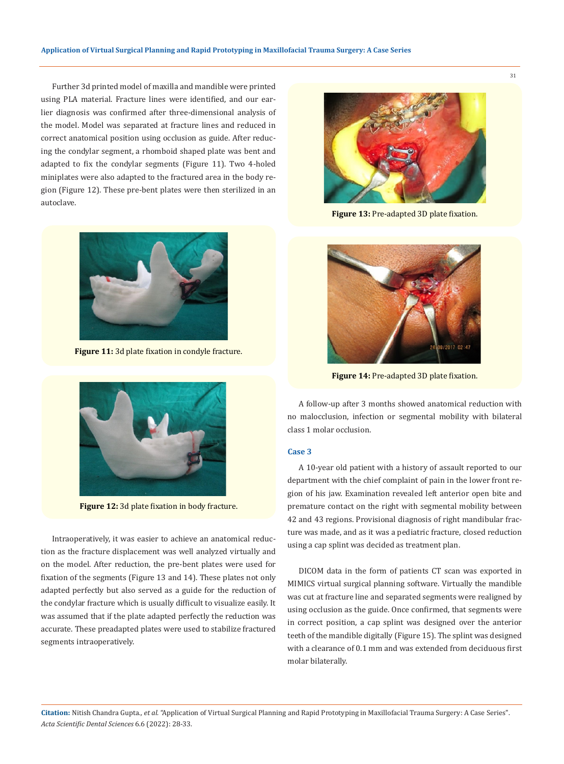Further 3d printed model of maxilla and mandible were printed using PLA material. Fracture lines were identified, and our earlier diagnosis was confirmed after three-dimensional analysis of the model. Model was separated at fracture lines and reduced in correct anatomical position using occlusion as guide. After reducing the condylar segment, a rhomboid shaped plate was bent and adapted to fix the condylar segments (Figure 11). Two 4-holed miniplates were also adapted to the fractured area in the body region (Figure 12). These pre-bent plates were then sterilized in an autoclave.



**Figure 11:** 3d plate fixation in condyle fracture.



**Figure 12:** 3d plate fixation in body fracture.

Intraoperatively, it was easier to achieve an anatomical reduction as the fracture displacement was well analyzed virtually and on the model. After reduction, the pre-bent plates were used for fixation of the segments (Figure 13 and 14). These plates not only adapted perfectly but also served as a guide for the reduction of the condylar fracture which is usually difficult to visualize easily. It was assumed that if the plate adapted perfectly the reduction was accurate. These preadapted plates were used to stabilize fractured segments intraoperatively.



**Figure 13:** Pre-adapted 3D plate fixation.



**Figure 14:** Pre-adapted 3D plate fixation.

A follow-up after 3 months showed anatomical reduction with no malocclusion, infection or segmental mobility with bilateral class 1 molar occlusion.

#### **Case 3**

A 10-year old patient with a history of assault reported to our department with the chief complaint of pain in the lower front region of his jaw. Examination revealed left anterior open bite and premature contact on the right with segmental mobility between 42 and 43 regions. Provisional diagnosis of right mandibular fracture was made, and as it was a pediatric fracture, closed reduction using a cap splint was decided as treatment plan.

DICOM data in the form of patients CT scan was exported in MIMICS virtual surgical planning software. Virtually the mandible was cut at fracture line and separated segments were realigned by using occlusion as the guide. Once confirmed, that segments were in correct position, a cap splint was designed over the anterior teeth of the mandible digitally (Figure 15). The splint was designed with a clearance of 0.1 mm and was extended from deciduous first molar bilaterally.

**Citation:** Nitish Chandra Gupta*., et al.* "Application of Virtual Surgical Planning and Rapid Prototyping in Maxillofacial Trauma Surgery: A Case Series". *Acta Scientific Dental Sciences* 6.6 (2022): 28-33.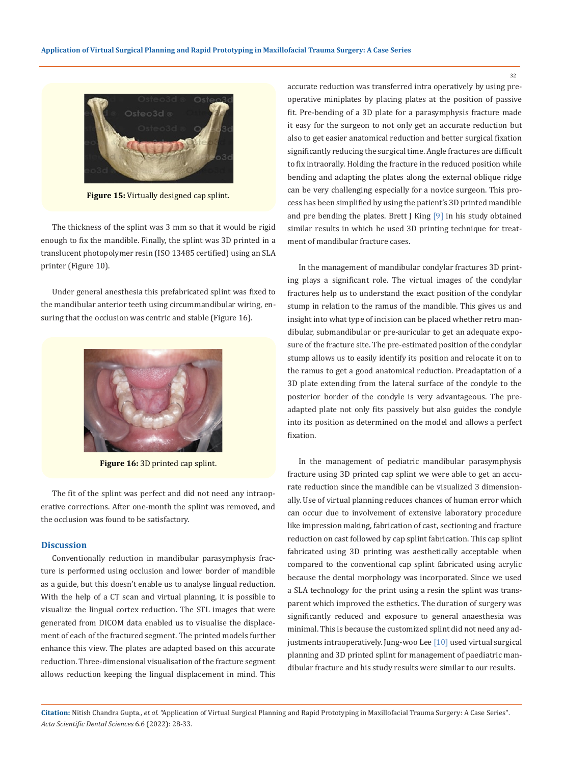

**Figure 15:** Virtually designed cap splint.

The thickness of the splint was 3 mm so that it would be rigid enough to fix the mandible. Finally, the splint was 3D printed in a translucent photopolymer resin (ISO 13485 certified) using an SLA printer (Figure 10).

Under general anesthesia this prefabricated splint was fixed to the mandibular anterior teeth using circummandibular wiring, ensuring that the occlusion was centric and stable (Figure 16).



**Figure 16:** 3D printed cap splint.

The fit of the splint was perfect and did not need any intraoperative corrections. After one-month the splint was removed, and the occlusion was found to be satisfactory.

#### **Discussion**

Conventionally reduction in mandibular parasymphysis fracture is performed using occlusion and lower border of mandible as a guide, but this doesn't enable us to analyse lingual reduction. With the help of a CT scan and virtual planning, it is possible to visualize the lingual cortex reduction. The STL images that were generated from DICOM data enabled us to visualise the displacement of each of the fractured segment. The printed models further enhance this view. The plates are adapted based on this accurate reduction. Three-dimensional visualisation of the fracture segment allows reduction keeping the lingual displacement in mind. This accurate reduction was transferred intra operatively by using preoperative miniplates by placing plates at the position of passive fit. Pre-bending of a 3D plate for a parasymphysis fracture made it easy for the surgeon to not only get an accurate reduction but also to get easier anatomical reduction and better surgical fixation significantly reducing the surgical time. Angle fractures are difficult to fix intraorally. Holding the fracture in the reduced position while bending and adapting the plates along the external oblique ridge can be very challenging especially for a novice surgeon. This process has been simplified by using the patient's 3D printed mandible and pre bending the plates. Brett J King [9] in his study obtained similar results in which he used 3D printing technique for treatment of mandibular fracture cases.

In the management of mandibular condylar fractures 3D printing plays a significant role. The virtual images of the condylar fractures help us to understand the exact position of the condylar stump in relation to the ramus of the mandible. This gives us and insight into what type of incision can be placed whether retro mandibular, submandibular or pre-auricular to get an adequate exposure of the fracture site. The pre-estimated position of the condylar stump allows us to easily identify its position and relocate it on to the ramus to get a good anatomical reduction. Preadaptation of a 3D plate extending from the lateral surface of the condyle to the posterior border of the condyle is very advantageous. The preadapted plate not only fits passively but also guides the condyle into its position as determined on the model and allows a perfect fixation.

In the management of pediatric mandibular parasymphysis fracture using 3D printed cap splint we were able to get an accurate reduction since the mandible can be visualized 3 dimensionally. Use of virtual planning reduces chances of human error which can occur due to involvement of extensive laboratory procedure like impression making, fabrication of cast, sectioning and fracture reduction on cast followed by cap splint fabrication. This cap splint fabricated using 3D printing was aesthetically acceptable when compared to the conventional cap splint fabricated using acrylic because the dental morphology was incorporated. Since we used a SLA technology for the print using a resin the splint was transparent which improved the esthetics. The duration of surgery was significantly reduced and exposure to general anaesthesia was minimal. This is because the customized splint did not need any adjustments intraoperatively. Jung-woo Lee [10] used virtual surgical planning and 3D printed splint for management of paediatric mandibular fracture and his study results were similar to our results.

**Citation:** Nitish Chandra Gupta*., et al.* "Application of Virtual Surgical Planning and Rapid Prototyping in Maxillofacial Trauma Surgery: A Case Series". *Acta Scientific Dental Sciences* 6.6 (2022): 28-33.

32